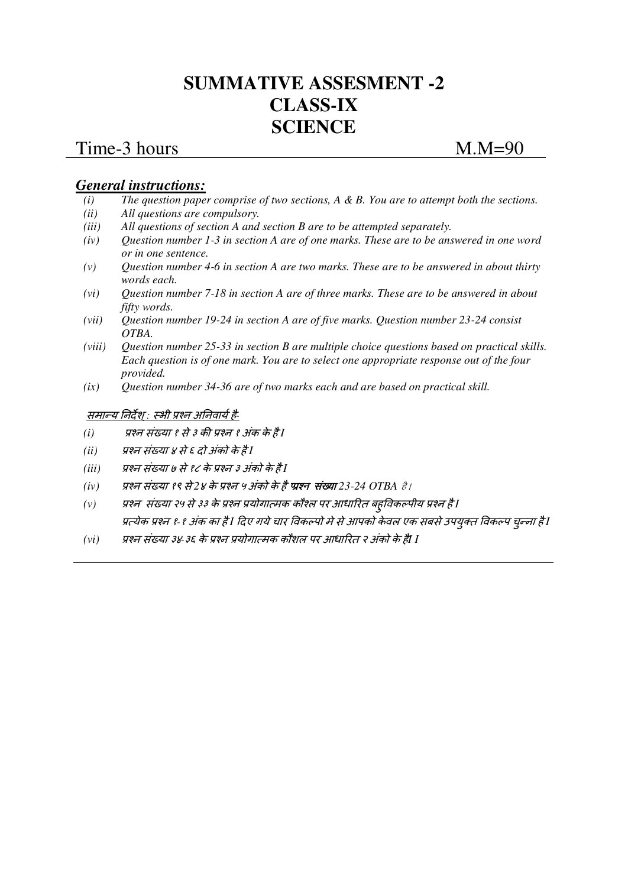# **SUMMATIVE ASSESMENT -2 CLASS-IX SCIENCE**

## Time-3 hours M.M=90

## *General instructions:*

- *(i) The question paper comprise of two sections, A & B. You are to attempt both the sections.*
- *(ii) All questions are compulsory.*
- *(iii) All questions of section A and section B are to be attempted separately.*
- *(iv) Question number 1-3 in section A are of one marks. These are to be answered in one word or in one sentence.*
- *(v) Question number 4-6 in section A are two marks. These are to be answered in about thirty words each.*
- *(vi) Question number 7-18 in section A are of three marks. These are to be answered in about fifty words.*
- *(vii) Question number 19-24 in section A are of five marks. Question number 23-24 consist OTBA.*
- *(viii) Question number 25-33 in section B are multiple choice questions based on practical skills. Each question is of one mark. You are to select one appropriate response out of the four provided.*
- *(ix) Question number 34-36 are of two marks each and are based on practical skill.*

### समान्य निर्देश : स्भी प्रश्न अनिवार्य है-

- *(i)* प्रश्न संख्या १ से ३ की प्रश्न १ अंक के है I
- *(ii) प्रश्न संख्या ४ से ६ दो अंको के है* I
- *(iii) प्रश्न संख्या ७ से १८ के प्रश्न ३ अंको के है* I
- *(iv) पश्न संख्या १९ से* 2*४ के प्रश्न ५ अंको के है प्रश्न संख्या* 23-24 OTBA *है* /
- (v) प्रश्न संख्या २५ से ३३ के प्रश्न प्रयोगात्मक कौश्ल पर आधारित बहुविकल्पीय प्रश्न है I प्रत्येक प्रश्न १-१ अंक का है I दिए गये चार विकल्पो मे से आपको केवल एक सबसे उपयुक्त विकल्प चुन्ना है I
- *(vi) पश्न संख्या ३४-३६ के प्रश्न प्रयोगात्मक कौशल पर आधारित २ अंको के हैं*I I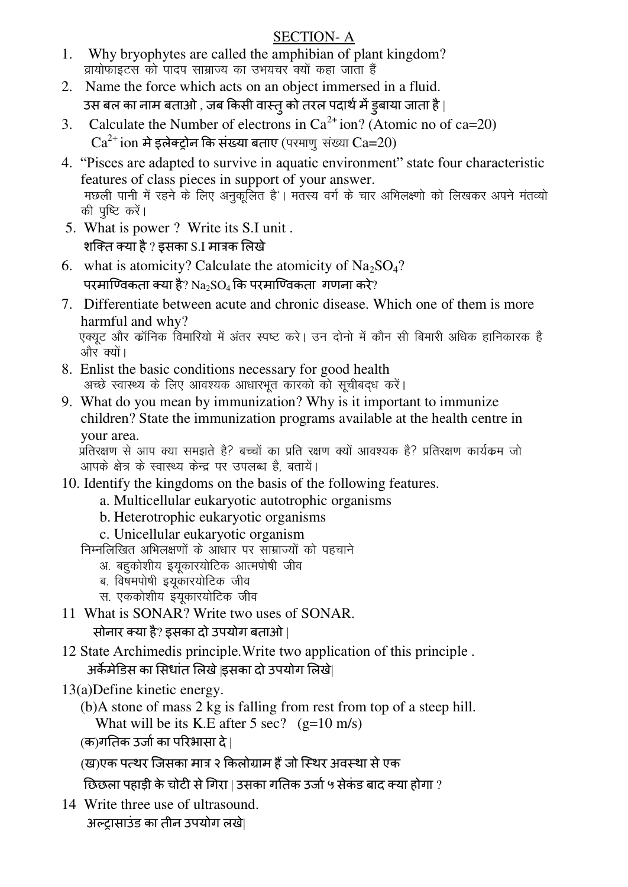## SECTION- A

- 1. Why bryophytes are called the amphibian of plant kingdom? ब्रायोफाइटस को पादप साम्राज्य का उभयचर क्यों कहा जाता हैं
- 2. Name the force which acts on an object immersed in a fluid. उस बल का नाम बताओ , जब किसी वास्तु को तरल पदार्थ में इबाया जाता है |
- 3. Calculate the Number of electrons in  $Ca^{2+}$  ion? (Atomic no of ca=20)  $Ca^{2+}$ ion मे इलेक्ट्रोन कि संख्या बताए (परमाणु संख्या  $Ca=20$ )
- 4. "Pisces are adapted to survive in aquatic environment" state four characteristic features of class pieces in support of your answer. मछली पानी में रहने के लिए अनुकूलित है'। मंतस्य वर्ग के चार अभिलक्ष्णो को लिखकर अपने मंतव्यो की पुष्टि करें।
- 5. What is power ? Write its S.I unit . शक्ति क्या है ? इसका S.I मात्रक लिखे
- 6. what is atomicity? Calculate the atomicity of  $Na<sub>2</sub>SO<sub>4</sub>$ ? परमाण्विकता क्या है? Na<sub>2</sub>SO<sub>4</sub> कि परमाण्विकता गणना करे?
- 7. Differentiate between acute and chronic disease. Which one of them is more harmful and why? .एक्युट और कॉनिक विमारियो में अंतर स्पष्ट करे। उन दोनो में कौन सी बिमारी अधिक हानिकारक है और क्यों।
- 8. Enlist the basic conditions necessary for good health अच्छे स्वास्थ्य के लिए आवश्यक आधारभूत कारको को सूचीबद्ध करें।
- 9. What do you mean by immunization? Why is it important to immunize children? State the immunization programs available at the health centre in your area.

प्रतिरक्षण से आप क्या समझते है? बच्चों का प्रति रक्षण क्यों आवश्यक है? प्रतिरक्षण कार्यक्रम जो आपके क्षेत्र के स्वास्थ्य केन्द्र पर उपलब्ध है, बतायें।

- 10. Identify the kingdoms on the basis of the following features.
	- a. Multicellular eukaryotic autotrophic organisms
	- b. Heterotrophic eukaryotic organisms
	- c. Unicellular eukaryotic organism

निम्नलिखित अभिलक्षणों के आधार पर साम्राज्यों को पहचाने

- अ. बहूकोशीय इयूकारयोटिक आत्मपोषी जीव
- ब. विषमपोषी इयूकारयोटिक जीव
- स. एककोशीय इंयुकारयोटिक जीव
- 11 What is SONAR? Write two uses of SONAR.

सोनार क्या है? इसका दो उपयोग बताओ |

- 12 State Archimedis principle.Write two application of this principle . अर्केमेडिस का सिधांत लिखे |इसका दो उपयोग लिखे|
- 13(a)Define kinetic energy.
	- (b)A stone of mass 2 kg is falling from rest from top of a steep hill. What will be its K.E after 5 sec?  $(g=10 \text{ m/s})$
	- (क)गतिक उर्जा का परिभासा दे |
	- (ख)एक पत्थर जिसका मात्र २ किलोग्राम हैं जो स्थिर अवस्था से एक
	- छिछला पहाड़ी के चोटी से गिरा | उसका गतिक उर्जा ५ सेकंड बाद क्या होगा ?
- 14 Write three use of ultrasound. अल्ट्रासाउंड का तीन उपयोग लखे|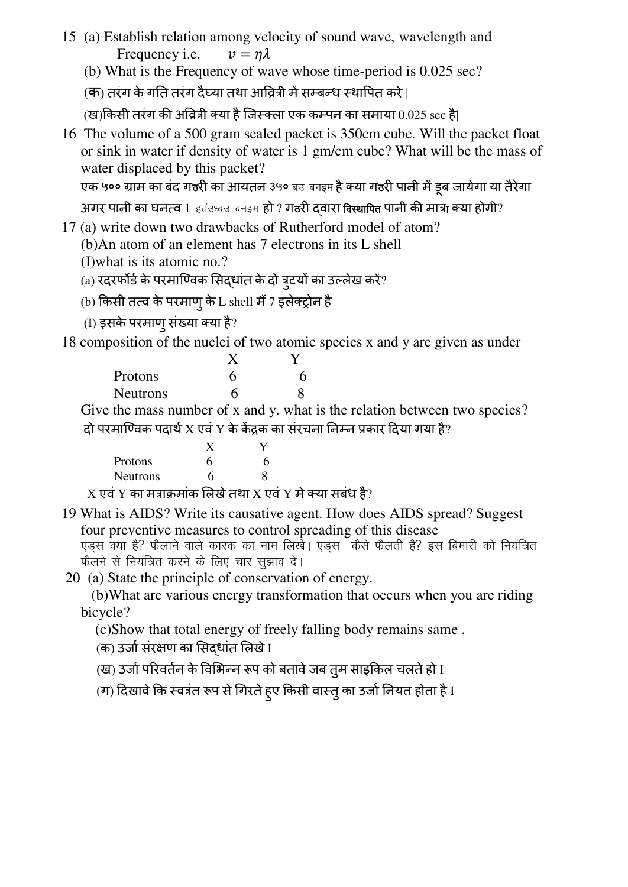- 15 (a) Establish relation among velocity of sound wave, wavelength and Frequency i.e.  $\nu = \eta \lambda$ 
	- (b) What is the Frequency of wave whose time-period is  $0.025$  sec?
	- (क) तरंग के गति तरंग दैघ्या तथा आव्रित्री में सम्बन्ध स्थापित करे |

(ख)किसी तरंग की अवित्री क्या है जिस्क्ला एक कम्पन का समाया  $0.025 \sec \xi$ |

16 The volume of a 500 gram sealed packet is 350cm cube. Will the packet float or sink in water if density of water is 1 gm/cm cube? What will be the mass of water displaced by this packet?

एक ५०० ग्राम का बंद गठरी का आयतन ३५० बउ बनइम है क्या गठरी पानी में डूब जायेगा या तैरेगा

अगर पानी का घनत्व 1 हतंउध्बउ बनइम हो ? गठरी दवारा विस्थापित पानी की मात्रा क्या होगी?

- 17 (a) write down two drawbacks of Rutherford model of atom?
	- (b)An atom of an element has 7 electrons in its L shell
	- (I)what is its atomic no.?
	- (a) रदरर्फोर्ड के परमाण्विक सिद्धांत के दो त्र्टयों का उल्लेख करें?
	- (b) किसी तत्व के परमाणु के L shell मैं 7 इलेक्ट्रोन है
	- (I) इसके परमाणु संख्या क्या है?

18 composition of the nuclei of two atomic species x and y are given as under

| Protons         | h | n |
|-----------------|---|---|
| <b>Neutrons</b> | 6 |   |

Give the mass number of x and y. what is the relation between two species? दो परमाण्विक पदार्थ $X$  एवं  $Y$  के केंद्रक का संरचना निम्न प्रकार दिया गया है?

| Protons                           | h                                 | h |
|-----------------------------------|-----------------------------------|---|
| <b>Neutrons</b>                   | h                                 |   |
| <b>Contract Contract Contract</b> | <b>Contract Contract Contract</b> |   |

 $X$  एवं  $Y$  का मत्राक्रमांक लिखे तथा  $X$  एवं  $Y$  मे क्या सबंध है?

19 What is AIDS? Write its causative agent. How does AIDS spread? Suggest four preventive measures to control spreading of this disease एड्स क्या है? फैलाने वाले कारक का नाम लिखे। एड्स कैसे फैलती है? इस बिमारी को नियंत्रित फैलने से नियंत्रित करने के लिए चार सुझाव दें।

20 (a) State the principle of conservation of energy.

 (b)What are various energy transformation that occurs when you are riding bicycle?

(c)Show that total energy of freely falling body remains same .

(क) उर्जा संरक्षण का सिद्धांत लिखे I

- (ख) उर्जा परिवर्तन के विभिन्न रूप को बतावे जब त्**म साइकिल चलते हो** I
- (ग) दिखावे कि स्वत्रंत रूप से गिरते ह्ए किसी वास्तु का उर्जा नियत होता है I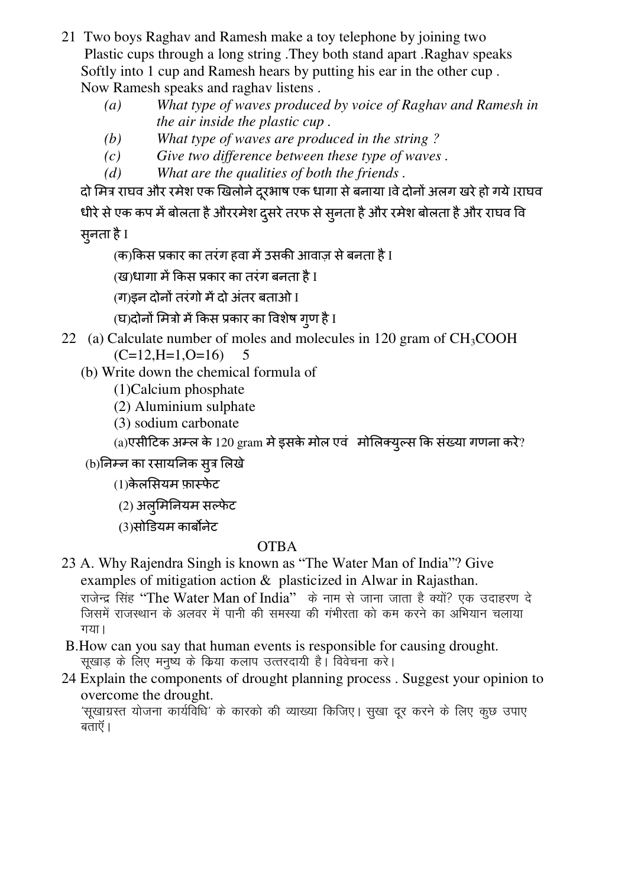- 21 Two boys Raghav and Ramesh make a toy telephone by joining two Plastic cups through a long string .They both stand apart .Raghav speaks Softly into 1 cup and Ramesh hears by putting his ear in the other cup . Now Ramesh speaks and raghav listens .
	- *(a) What type of waves produced by voice of Raghav and Ramesh in the air inside the plastic cup .*
	- *(b) What type of waves are produced in the string ?*
	- *(c) Give two difference between these type of waves .*
	- *(d) What are the qualities of both the friends .*

दो मित्र राघव और रमेश एक खिलोने दूरभाष एक धागा से बनाया Iवे दोनों अलग खरे हो गये Iराघव धीरे से एक कप में बोलता है औररमेश दुसरे तरफ से सुनता है और रमेश बोलता है और राघव वि सुनता है I

(क)किस प्रकार का तरंग हवा में उसकी आवाज़ से बनता है I

(ख)धागा में किस प्रकार का तरंग बनता है I

(ग)इन दोनों तरंगो में दो अंतर बताओ I

(घ)दोनों मित्रो में किस प्रकार का विशेष गुण है I

- 22 (a) Calculate number of moles and molecules in 120 gram of  $CH<sub>3</sub>COOH$  $(C=12, H=1, O=16)$  5
	- (b) Write down the chemical formula of
		- (1)Calcium phosphate
		- (2) Aluminium sulphate
		- (3) sodium carbonate

 $(a)$ एसीटिक अम्ल के 120 gram मे इसके मोल एवं मोलिक्युल्स कि संख्या गणना करे?

## (b)निम्न का रसायनिक सूत्र लिखे

 $(1)$ केलसियम फ़ास्फेट

 $(2)$  अलुमिनियम सल्फेट

(3)सोडियम कार्बोनेट

## OTBA

- 23 A. Why Rajendra Singh is known as "The Water Man of India"? Give examples of mitigation action & plasticized in Alwar in Rajasthan. राजेन्द्र सिंह "The Water Man of India" के नाम से जाना जाता है क्यों? एक उदाहरण दे जिसमें राजस्थान के अलवर में पानी की समस्या की गंभीरता को कम करने का अभियान चलाया  $\overline{q}$
- B.How can you say that human events is responsible for causing drought. सूखाड़ के लिए मनुष्य के किया कलाप उत्तरदायी है। विवेचना करे।
- 24 Explain the components of drought planning process . Suggest your opinion to overcome the drought.

'सूखाग्रस्त योजना कार्यविधि' के कारको की व्याख्या किजिए। सुखा दूर करने के लिए कुछ उपाए बताएँ ।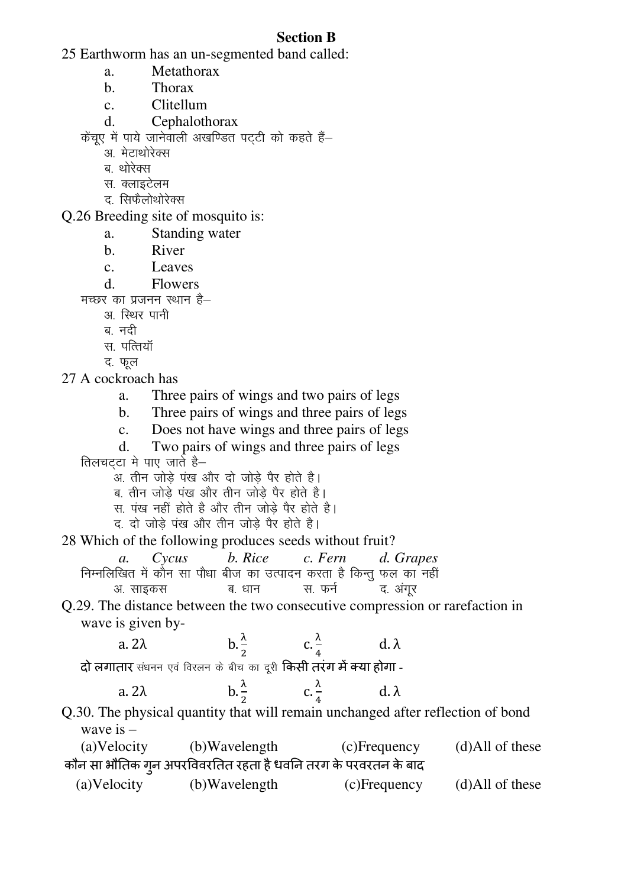## **Section B**

25 Earthworm has an un-segmented band called:

a. Metathorax

b. Thorax

c. Clitellum

d. Cephalothorax

केंचुए में पाये जानेवाली अखण्डित पटटी को कहते हैं-

अ. मेटाथोरेक्स

ब थोरेक्स

- स. क्लाइटेलम
- द. सिफैलोथोरेक्स

Q.26 Breeding site of mosquito is:

- a. Standing water
- b. River
- c. Leaves

d. Flowers

मच्छर का प्रजनन स्थान है–

- अ. स्थिर पानी
- ब नदी
- स. पत्तियॉ

द. फूल

27 A cockroach has

- a. Three pairs of wings and two pairs of legs
- b. Three pairs of wings and three pairs of legs
- c. Does not have wings and three pairs of legs
- d. Two pairs of wings and three pairs of legs

तिलचटटा मे पाए जाते है $-$ 

- $\overline{\mathcal{X}}$  अ. तीन जोड़े पंख और दो जोड़े पैर होते है।
- ब, तीन जोड़े पंख और तीन जोड़े पैर होते है।
- स. पंख नहीं होते है और तीन जोड़े पैर होते है।
- द, दो जोड़े पंख और तीन जोड़े पैर होते है।

28 Which of the following produces seeds without fruit?

|          |  | a. Cycus b. Rice c. Fern d. Grapes                                  |  |
|----------|--|---------------------------------------------------------------------|--|
|          |  | निम्नलिखित में कौन सा पौधा बीज का उत्पादन करता है किन्तु फल का नहीं |  |
| अ. साइकस |  | ब धान - स. फर्न - द. अंगूर                                          |  |

Q.29. The distance between the two consecutive compression or rarefaction in wave is given by-

 $\frac{\lambda}{4}$ a.  $2\lambda$  $d.\lambda$  $\overline{\mathbf{z}}$  $\overline{a}$ दो लगातार संधनन एवं विरलन के बीच का दूरी किसी तरंग में क्या होगा -

| a. $2\lambda$ | $\overline{\phantom{a}}$ | المسار | - d. |
|---------------|--------------------------|--------|------|
|               |                          |        |      |

Q.30. The physical quantity that will remain unchanged after reflection of bond wave is –

| (a) Velocity | (b)Wavelength                                                 | (c)Frequency | $(d)$ All of these |
|--------------|---------------------------------------------------------------|--------------|--------------------|
|              | कौन सा भौतिक गून अपरविवरतित रहता है धवनि तरग के परवरतन के बाद |              |                    |
| (a)Velocity  | (b)Wavelength                                                 | (c)Frequency | $(d)$ All of these |